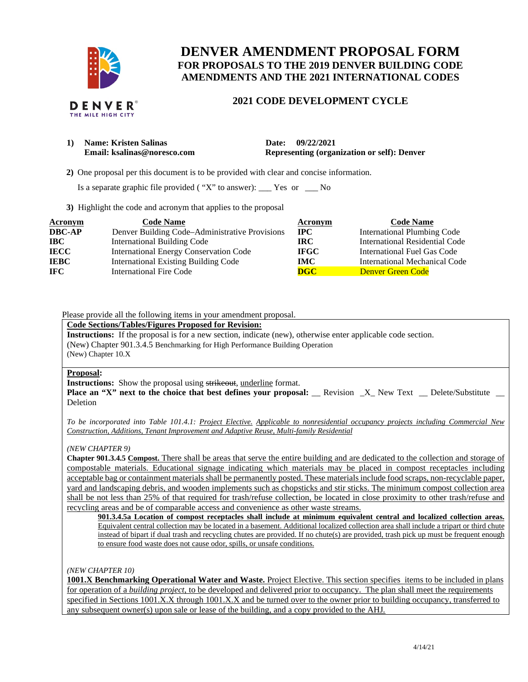

# **DENVER AMENDMENT PROPOSAL FORM FOR PROPOSALS TO THE 2019 DENVER BUILDING CODE AMENDMENTS AND THE 2021 INTERNATIONAL CODES**

## **2021 CODE DEVELOPMENT CYCLE**

**1) Name: Kristen Salinas Date: 09/22/2021** 

**Email: ksalinas@noresco.com Representing (organization or self): Denver** 

 **2)** One proposal per this document is to be provided with clear and concise information.

Is a separate graphic file provided ( "X" to answer): \_\_\_ Yes or \_\_\_ No

**3)** Highlight the code and acronym that applies to the proposal

| <b>Acronym</b> | <b>Code Name</b>                               | Acronym                   | <b>Code Name</b>               |  |  |
|----------------|------------------------------------------------|---------------------------|--------------------------------|--|--|
| <b>DBC-AP</b>  | Denver Building Code–Administrative Provisions | $\bf{IPC}$                | International Plumbing Code    |  |  |
| <b>IBC</b>     | <b>International Building Code</b>             | IRC.                      | International Residential Code |  |  |
| <b>IECC</b>    | <b>International Energy Conservation Code</b>  | <b>IFGC</b>               | International Fuel Gas Code    |  |  |
| <b>IEBC</b>    | <b>International Existing Building Code</b>    | IMC .                     | International Mechanical Code  |  |  |
| <b>IFC</b>     | <b>International Fire Code</b>                 | $\overline{\textbf{DGC}}$ | Denver Green Code              |  |  |

#### Please provide all the following items in your amendment proposal.

#### **Code Sections/Tables/Figures Proposed for Revision:**

**Instructions:** If the proposal is for a new section, indicate (new), otherwise enter applicable code section. (New) Chapter 901.3.4.5 Benchmarking for High Performance Building Operation (New) Chapter 10.X

#### **Proposal:**

**Instructions:** Show the proposal using strikeout, underline format.

**Place an "X" next to the choice that best defines your proposal:** \_\_ Revision \_X\_ New Text \_\_ Delete/Substitute \_\_ Deletion

*To be incorporated into Table 101.4.1: Project Elective. Applicable to nonresidential occupancy projects including Commercial New Construction, Additions, Tenant Improvement and Adaptive Reuse, Multi-family Residential* 

*(NEW CHAPTER 9)* 

**Chapter 901.3.4.5 Compost.** There shall be areas that serve the entire building and are dedicated to the collection and storage of compostable materials. Educational signage indicating which materials may be placed in compost receptacles including acceptable bag or containment materials shall be permanently posted. These materials include food scraps, non-recyclable paper, yard and landscaping debris, and wooden implements such as chopsticks and stir sticks. The minimum compost collection area shall be not less than 25% of that required for trash/refuse collection, be located in close proximity to other trash/refuse and recycling areas and be of comparable access and convenience as other waste streams.

**901.3.4.5a Location of compost receptacles shall include at minimum equivalent central and localized collection areas.**  Equivalent central collection may be located in a basement. Additional localized collection area shall include a tripart or third chute instead of bipart if dual trash and recycling chutes are provided. If no chute(s) are provided, trash pick up must be frequent enough to ensure food waste does not cause odor, spills, or unsafe conditions.

#### *(NEW CHAPTER 10)*

**1001.X Benchmarking Operational Water and Waste.** Project Elective. This section specifies items to be included in plans for operation of a *building project*, to be developed and delivered prior to occupancy. The plan shall meet the requirements specified in Sections 1001.X.X through 1001.X.X and be turned over to the owner prior to building occupancy, transferred to any subsequent owner(s) upon sale or lease of the building, and a copy provided to the AHJ*.*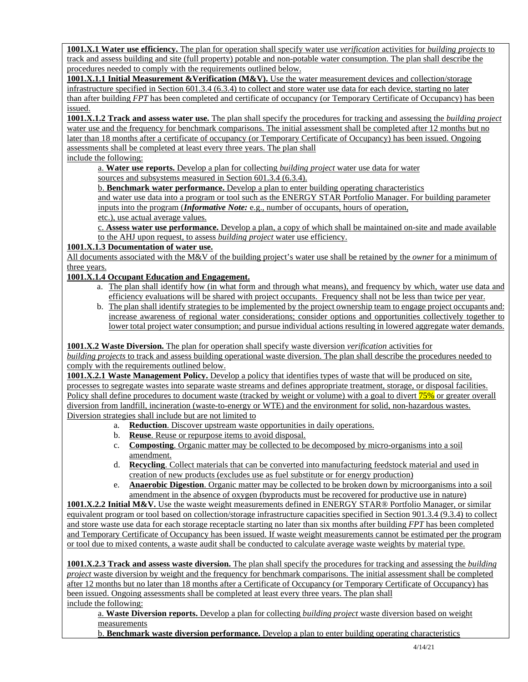**1001.X.1 Water use efficiency.** The plan for operation shall specify water use *verification* activities for *building projects* to track and assess building and site (full property) potable and non-potable water consumption. The plan shall describe the procedures needed to comply with the requirements outlined below.

**1001.X.1.1 Initial Measurement &Verification (M&V).** Use the water measurement devices and collection/storage infrastructure specified in Section 601.3.4 (6.3.4) to collect and store water use data for each device, starting no later than after building *FPT* has been completed and certificate of occupancy (or Temporary Certificate of Occupancy) has been issued.

**1001.X.1.2 Track and assess water use.** The plan shall specify the procedures for tracking and assessing the *building project*  water use and the frequency for benchmark comparisons. The initial assessment shall be completed after 12 months but no later than 18 months after a certificate of occupancy (or Temporary Certificate of Occupancy) has been issued. Ongoing assessments shall be completed at least every three years. The plan shall

### include the following:

a. **Water use reports.** Develop a plan for collecting *building project* water use data for water sources and subsystems measured in Section 601.3.4 (6.3.4).

b. **Benchmark water performance.** Develop a plan to enter building operating characteristics

and water use data into a program or tool such as the ENERGY STAR Portfolio Manager. For building parameter inputs into the program (*Informative Note:* e.g., number of occupants, hours of operation,

etc.), use actual average values.

c. **Assess water use performance.** Develop a plan, a copy of which shall be maintained on-site and made available to the AHJ upon request, to assess *building project* water use efficiency.

### **1001.X.1.3 Documentation of water use.**

All documents associated with the M&V of the building project's water use shall be retained by the *owner* for a minimum of three years.

**1001.X.1.4 Occupant Education and Engagement.** 

- a. The plan shall identify how (in what form and through what means), and frequency by which, water use data and efficiency evaluations will be shared with project occupants. Frequency shall not be less than twice per year.
- b. The plan shall identify strategies to be implemented by the project ownership team to engage project occupants and: increase awareness of regional water considerations; consider options and opportunities collectively together to lower total project water consumption; and pursue individual actions resulting in lowered aggregate water demands.

### **1001.X.2 Waste Diversion.** The plan for operation shall specify waste diversion *verification* activities for

*building projects* to track and assess building operational waste diversion. The plan shall describe the procedures needed to comply with the requirements outlined below.

**1001.X.2.1 Waste Management Policy.** Develop a policy that identifies types of waste that will be produced on site, processes to segregate wastes into separate waste streams and defines appropriate treatment, storage, or disposal facilities. Policy shall define procedures to document waste (tracked by weight or volume) with a goal to divert **75%** or greater overall diversion from landfill, incineration (waste-to-energy or WTE) and the environment for solid, non-hazardous wastes. Diversion strategies shall include but are not limited to

- a. **Reduction**. Discover upstream waste opportunities in daily operations.
- b. **Reuse**. Reuse or repurpose items to avoid disposal.
- c. **Composting**. Organic matter may be collected to be decomposed by micro-organisms into a soil amendment.
- d. **Recycling**. Collect materials that can be converted into manufacturing feedstock material and used in creation of new products (excludes use as fuel substitute or for energy production)
- e. **Anaerobic Digestion**. Organic matter may be collected to be broken down by microorganisms into a soil amendment in the absence of oxygen (byproducts must be recovered for productive use in nature)

**1001.X.2.2 Initial M&V.** Use the waste weight measurements defined in ENERGY STAR® Portfolio Manager, or similar equivalent program or tool based on collection/storage infrastructure capacities specified in Section 901.3.4 (9.3.4) to collect and store waste use data for each storage receptacle starting no later than six months after building *FPT* has been completed and Temporary Certificate of Occupancy has been issued. If waste weight measurements cannot be estimated per the program or tool due to mixed contents, a waste audit shall be conducted to calculate average waste weights by material type.

**1001.X.2.3 Track and assess waste diversion.** The plan shall specify the procedures for tracking and assessing the *building project* waste diversion by weight and the frequency for benchmark comparisons. The initial assessment shall be completed after 12 months but no later than 18 months after a Certificate of Occupancy (or Temporary Certificate of Occupancy) has been issued. Ongoing assessments shall be completed at least every three years. The plan shall include the following:

a. **Waste Diversion reports.** Develop a plan for collecting *building project* waste diversion based on weight measurements

b. **Benchmark waste diversion performance.** Develop a plan to enter building operating characteristics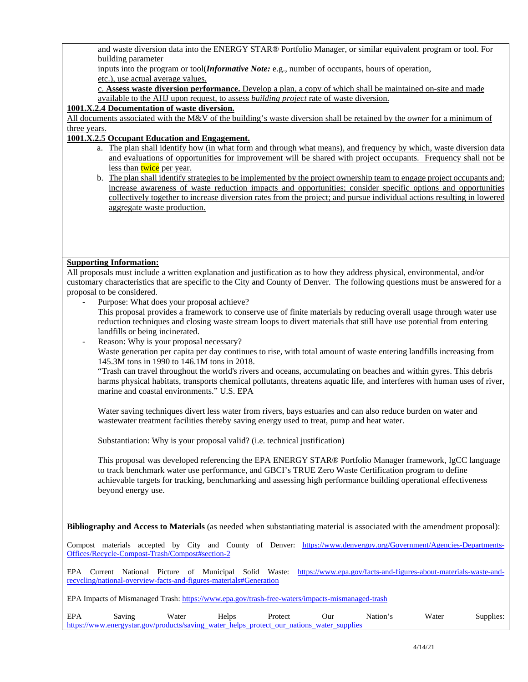and waste diversion data into the ENERGY STAR® Portfolio Manager, or similar equivalent program or tool. For building parameter

inputs into the program or tool(*Informative Note:* e.g., number of occupants, hours of operation, etc.), use actual average values.

c. **Assess waste diversion performance.** Develop a plan, a copy of which shall be maintained on-site and made available to the AHJ upon request, to assess *building project* rate of waste diversion.

#### **1001.X.2.4 Documentation of waste diversion.**

All documents associated with the M&V of the building's waste diversion shall be retained by the *owner* for a minimum of three years.

# **1001.X.2.5 Occupant Education and Engagement.**

- a. The plan shall identify how (in what form and through what means), and frequency by which, waste diversion data and evaluations of opportunities for improvement will be shared with project occupants. Frequency shall not be less than **twice** per year.
- b. The plan shall identify strategies to be implemented by the project ownership team to engage project occupants and: increase awareness of waste reduction impacts and opportunities; consider specific options and opportunities collectively together to increase diversion rates from the project; and pursue individual actions resulting in lowered aggregate waste production.

### **Supporting Information:**

All proposals must include a written explanation and justification as to how they address physical, environmental, and/or customary characteristics that are specific to the City and County of Denver. The following questions must be answered for a proposal to be considered.

- Purpose: What does your proposal achieve?
- This proposal provides a framework to conserve use of finite materials by reducing overall usage through water use reduction techniques and closing waste stream loops to divert materials that still have use potential from entering landfills or being incinerated.
- Reason: Why is your proposal necessary?
	- Waste generation per capita per day continues to rise, with total amount of waste entering landfills increasing from 145.3M tons in 1990 to 146.1M tons in 2018.

"Trash can travel throughout the world's rivers and oceans, accumulating on beaches and within gyres. This debris harms physical habitats, transports chemical pollutants, threatens aquatic life, and interferes with human uses of river, marine and coastal environments." U.S. EPA

Water saving techniques divert less water from rivers, bays estuaries and can also reduce burden on water and wastewater treatment facilities thereby saving energy used to treat, pump and heat water.

Substantiation: Why is your proposal valid? (i.e. technical justification)

This proposal was developed referencing the EPA ENERGY STAR® Portfolio Manager framework, IgCC language to track benchmark water use performance, and GBCI's TRUE Zero Waste Certification program to define achievable targets for tracking, benchmarking and assessing high performance building operational effectiveness beyond energy use.

**Bibliography and Access to Materials** (as needed when substantiating material is associated with the amendment proposal):

Compost materials accepted by City and County of Denver: [https://www.denvergov.org/Government/Agencies-Departments-](https://www.denvergov.org/Government/Agencies-Departments-Offices/Recycle-Compost-Trash/Compost#section-2)[Offices/Recycle-Compost-Trash/Compost#section-2](https://www.denvergov.org/Government/Agencies-Departments-Offices/Recycle-Compost-Trash/Compost#section-2) 

EPA Current National Picture of Municipal Solid Waste: [https://www.epa.gov/facts-and-figures-about-materials-waste-and](https://www.epa.gov/facts-and-figures-about-materials-waste-and-recycling/national-overview-facts-and-figures-materials#Generation)[recycling/national-overview-facts-and-figures-materials#Generation](https://www.epa.gov/facts-and-figures-about-materials-waste-and-recycling/national-overview-facts-and-figures-materials#Generation) 

EPA Impacts of Mismanaged Trash[: https://www.epa.gov/trash-free-waters/impacts-mismanaged-trash](https://www.epa.gov/trash-free-waters/impacts-mismanaged-trash) 

| EPA | Saving | Water | Helps | Protect                                                                                   | Our | Nation's | Water | Supplies: |
|-----|--------|-------|-------|-------------------------------------------------------------------------------------------|-----|----------|-------|-----------|
|     |        |       |       | https://www.energystar.gov/products/saving water helps protect our nations water supplies |     |          |       |           |